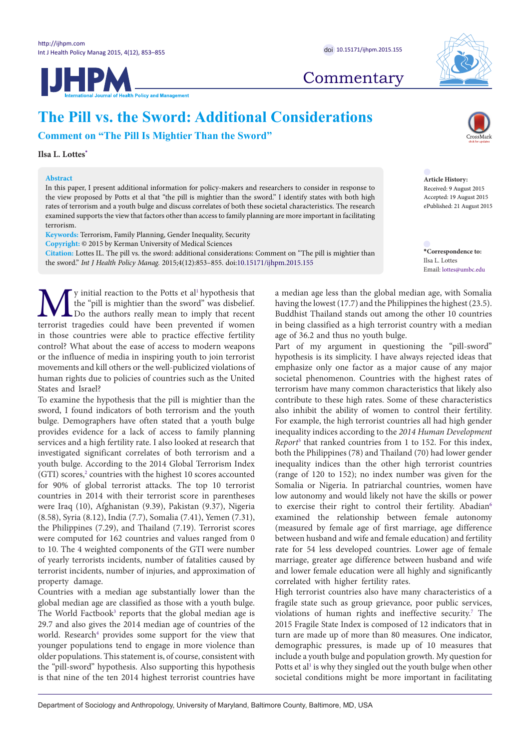



# **The Pill vs. the Sword: Additional Considerations**

**Comment on "The Pill Is Mightier Than the Sword"**

**Ilsa L. Lottes[\\*](#page-0-0)**

## **Abstract**

In this paper, I present additional information for policy-makers and researchers to consider in response to the view proposed by Potts et al that "the pill is mightier than the sword." I identify states with both high rates of terrorism and a youth bulge and discuss correlates of both these societal characteristics. The research examined supports the view that factors other than access to family planning are more important in facilitating terrorism.

**Keywords:** Terrorism, Family Planning, Gender Inequality, Security

**Copyright:** © 2015 by Kerman University of Medical Sciences

**Citation:** Lottes IL. The pill vs. the sword: additional considerations: Comment on "The pill is mightier than the sword." *Int J Health Policy Manag.* 2015;4(12):853–855. doi[:10.15171/ijhpm.2015.155](http://dx.doi.org/10.15171/ijhpm.2015.155)

We initial reaction to the Potts et al<sup>1</sup> hypothesis that the "pill is mightier than the sword" was disbelief.<br>The wear to imply that recent terrorist tragedies could have been prevented if women the "pill is mightier than the sword" was disbelief. Do the authors really mean to imply that recent terrorist tragedies could have been prevented if women in those countries were able to practice effective fertility control? What about the ease of access to modern weapons or the influence of media in inspiring youth to join terrorist movements and kill others or the well-publicized violations of human rights due to policies of countries such as the United States and Israel?

To examine the hypothesis that the pill is mightier than the sword, I found indicators of both terrorism and the youth bulge. Demographers have often stated that a youth bulge provides evidence for a lack of access to family planning services and a high fertility rate. I also looked at research that investigated significant correlates of both terrorism and a youth bulge. According to the 2014 Global Terrorism Index (GTI) scores,<sup>2</sup> countries with the highest 10 scores accounted for 90% of global terrorist attacks. The top 10 terrorist countries in 2014 with their terrorist score in parentheses were Iraq (10), Afghanistan (9.39), Pakistan (9.37), Nigeria (8.58), Syria (8.12), India (7.7), Somalia (7.41), Yemen (7.31), the Philippines (7.29), and Thailand (7.19). Terrorist scores were computed for 162 countries and values ranged from 0 to 10. The 4 weighted components of the GTI were number of yearly terrorists incidents, number of fatalities caused by terrorist incidents, number of injuries, and approximation of property damage.

Countries with a median age substantially lower than the global median age are classified as those with a youth bulge. The World Factbook<sup>[3](#page-2-2)</sup> reports that the global median age is 29.7 and also gives the 2014 median age of countries of the world. Research<sup>4</sup> provides some support for the view that younger populations tend to engage in more violence than older populations. This statement is, of course, consistent with the "pill-sword" hypothesis. Also supporting this hypothesis is that nine of the ten 2014 highest terrorist countries have



**Article History:** Received: 9 August 2015 Accepted: 19 August 2015 ePublished: 21 August 2015

<span id="page-0-0"></span>**\*Correspondence to:** Ilsa L. Lottes Email: lottes@umbc.edu

a median age less than the global median age, with Somalia having the lowest (17.7) and the Philippines the highest (23.5). Buddhist Thailand stands out among the other 10 countries in being classified as a high terrorist country with a median age of 36.2 and thus no youth bulge.

Part of my argument in questioning the "pill-sword" hypothesis is its simplicity. I have always rejected ideas that emphasize only one factor as a major cause of any major societal phenomenon. Countries with the highest rates of terrorism have many common characteristics that likely also contribute to these high rates. Some of these characteristics also inhibit the ability of women to control their fertility. For example, the high terrorist countries all had high gender inequality indices according to the *2014 Human Development Report*[5](#page-2-4) that ranked countries from 1 to 152. For this index, both the Philippines (78) and Thailand (70) had lower gender inequality indices than the other high terrorist countries (range of 120 to 152); no index number was given for the Somalia or Nigeria. In patriarchal countries, women have low autonomy and would likely not have the skills or power to exercise their right to control their fertility. Abadian<sup>[6](#page-2-5)</sup> examined the relationship between female autonomy (measured by female age of first marriage, age difference between husband and wife and female education) and fertility rate for 54 less developed countries. Lower age of female marriage, greater age difference between husband and wife and lower female education were all highly and significantly correlated with higher fertility rates.

High terrorist countries also have many characteristics of a fragile state such as group grievance, poor public services, violations of human rights and ineffective security.<sup>[7](#page-2-6)</sup> The 2015 Fragile State Index is composed of 12 indicators that in turn are made up of more than 80 measures. One indicator, demographic pressures, is made up of 10 measures that include a youth bulge and population growth. My question for Potts et al<sup>1</sup> is why they singled out the youth bulge when other societal conditions might be more important in facilitating

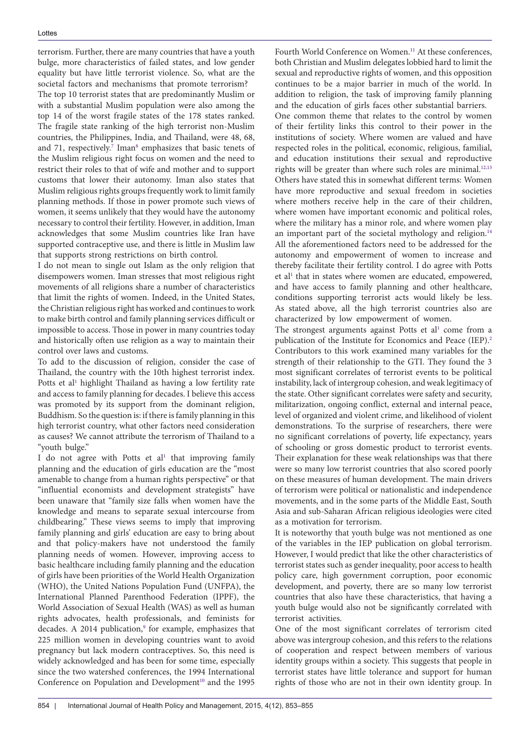### Lottes

terrorism. Further, there are many countries that have a youth bulge, more characteristics of failed states, and low gender equality but have little terrorist violence. So, what are the societal factors and mechanisms that promote terrorism? The top 10 terrorist states that are predominantly Muslim or with a substantial Muslim population were also among the top 14 of the worst fragile states of the 178 states ranked. The fragile state ranking of the high terrorist non-Muslim countries, the Philippines, India, and Thailand, were 48, 68, and [7](#page-2-6)1, respectively.<sup>7</sup> Iman<sup>[8](#page-2-7)</sup> emphasizes that basic tenets of the Muslim religious right focus on women and the need to restrict their roles to that of wife and mother and to support customs that lower their autonomy. Iman also states that Muslim religious rights groups frequently work to limit family planning methods. If those in power promote such views of women, it seems unlikely that they would have the autonomy necessary to control their fertility. However, in addition, Iman acknowledges that some Muslim countries like Iran have supported contraceptive use, and there is little in Muslim law that supports strong restrictions on birth control.

I do not mean to single out Islam as the only religion that disempowers women. Iman stresses that most religious right movements of all religions share a number of characteristics that limit the rights of women. Indeed, in the United States, the Christian religious right has worked and continues to work to make birth control and family planning services difficult or impossible to access. Those in power in many countries today and historically often use religion as a way to maintain their control over laws and customs.

To add to the discussion of religion, consider the case of Thailand, the country with the 10th highest terrorist index. Potts et al<sup>[1](#page-2-0)</sup> highlight Thailand as having a low fertility rate and access to family planning for decades. I believe this access was promoted by its support from the dominant religion, Buddhism. So the question is: if there is family planning in this high terrorist country, what other factors need consideration as causes? We cannot attribute the terrorism of Thailand to a "youth bulge."

I do not agree with Potts et al<sup>1</sup> that improving family planning and the education of girls education are the "most amenable to change from a human rights perspective" or that "influential economists and development strategists" have been unaware that "family size falls when women have the knowledge and means to separate sexual intercourse from childbearing." These views seems to imply that improving family planning and girls' education are easy to bring about and that policy-makers have not understood the family planning needs of women. However, improving access to basic healthcare including family planning and the education of girls have been priorities of the World Health Organization (WHO), the United Nations Population Fund (UNFPA), the International Planned Parenthood Federation (IPPF), the World Association of Sexual Health (WAS) as well as human rights advocates, health professionals, and feminists for decades. A 2014 publication,<sup>[9](#page-2-8)</sup> for example, emphasizes that 225 million women in developing countries want to avoid pregnancy but lack modern contraceptives. So, this need is widely acknowledged and has been for some time, especially since the two watershed conferences, the 1994 International Conference on Population and Development<sup>10</sup> and the 1995

Fourth World Conference on Women.<sup>11</sup> At these conferences, both Christian and Muslim delegates lobbied hard to limit the sexual and reproductive rights of women, and this opposition continues to be a major barrier in much of the world. In addition to religion, the task of improving family planning and the education of girls faces other substantial barriers. One common theme that relates to the control by women of their fertility links this control to their power in the institutions of society. Where women are valued and have respected roles in the political, economic, religious, familial, and education institutions their sexual and reproductive rights will be greater than where such roles are minimal.<sup>12,[13](#page-2-12)</sup> Others have stated this in somewhat different terms: Women have more reproductive and sexual freedom in societies where mothers receive help in the care of their children, where women have important economic and political roles, where the military has a minor role, and where women play an important part of the societal mythology and religion. $14$ All the aforementioned factors need to be addressed for the autonomy and empowerment of women to increase and thereby facilitate their fertility control. I do agree with Potts et al<sup>1</sup> that in states where women are educated, empowered, and have access to family planning and other healthcare, conditions supporting terrorist acts would likely be less. As stated above, all the high terrorist countries also are characterized by low empowerment of women.

The strongest arguments against Potts et al<sup>1</sup> come from a publication of the Institute for Economics and Peace (IEP).<sup>2</sup> Contributors to this work examined many variables for the strength of their relationship to the GTI. They found the 3 most significant correlates of terrorist events to be political instability, lack of intergroup cohesion, and weak legitimacy of the state. Other significant correlates were safety and security, militarization, ongoing conflict, external and internal peace, level of organized and violent crime, and likelihood of violent demonstrations. To the surprise of researchers, there were no significant correlations of poverty, life expectancy, years of schooling or gross domestic product to terrorist events. Their explanation for these weak relationships was that there were so many low terrorist countries that also scored poorly on these measures of human development. The main drivers of terrorism were political or nationalistic and independence movements, and in the some parts of the Middle East, South Asia and sub-Saharan African religious ideologies were cited as a motivation for terrorism.

It is noteworthy that youth bulge was not mentioned as one of the variables in the IEP publication on global terrorism. However, I would predict that like the other characteristics of terrorist states such as gender inequality, poor access to health policy care, high government corruption, poor economic development, and poverty, there are so many low terrorist countries that also have these characteristics, that having a youth bulge would also not be significantly correlated with terrorist activities.

One of the most significant correlates of terrorism cited above was intergroup cohesion, and this refers to the relations of cooperation and respect between members of various identity groups within a society. This suggests that people in terrorist states have little tolerance and support for human rights of those who are not in their own identity group. In